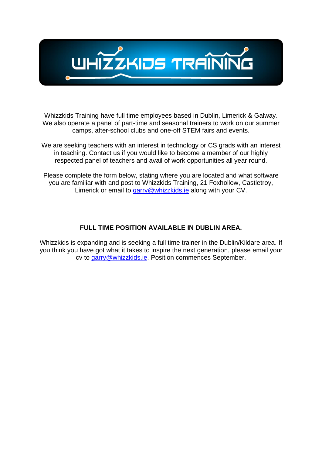

Whizzkids Training have full time employees based in Dublin, Limerick & Galway. We also operate a panel of part-time and seasonal trainers to work on our summer camps, after-school clubs and one-off STEM fairs and events.

We are seeking teachers with an interest in technology or CS grads with an interest in teaching. Contact us if you would like to become a member of our highly respected panel of teachers and avail of work opportunities all year round.

Please complete the form below, stating where you are located and what software you are familiar with and post to Whizzkids Training, 21 Foxhollow, Castletroy, Limerick or email to [garry@whizzkids.ie](mailto:garry@whizzkids.ie) along with your CV.

## **FULL TIME POSITION AVAILABLE IN DUBLIN AREA.**

Whizzkids is expanding and is seeking a full time trainer in the Dublin/Kildare area. If you think you have got what it takes to inspire the next generation, please email your cv to [garry@whizzkids.ie.](mailto:garry@whizzkids.ie) Position commences September.